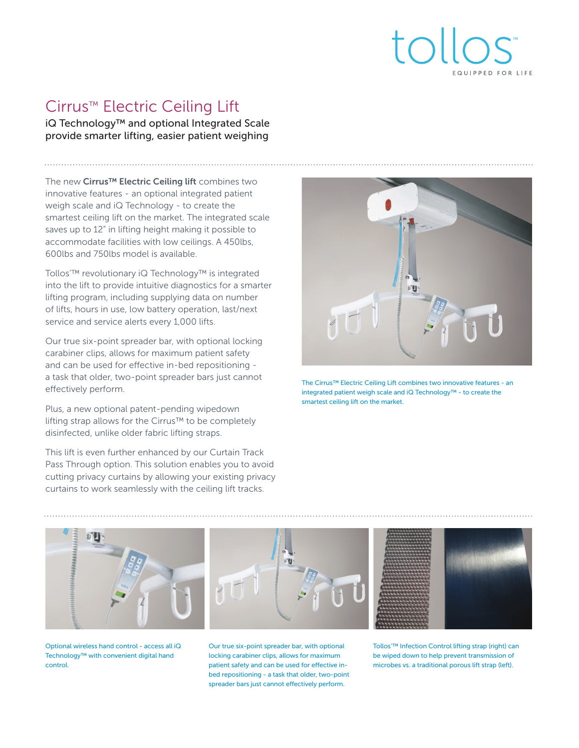

# Cirrus™ Electric Ceiling Lift

iQ Technology™ and optional Integrated Scale provide smarter lifting, easier patient weighing

The new Cirrus<sup>™</sup> Electric Ceiling lift combines two innovative features - an optional integrated patient weigh scale and iQ Technology - to create the smartest ceiling lift on the market. The integrated scale saves up to 12" in lifting height making it possible to accommodate facilities with low ceilings. A 450lbs, 600lbs and 750lbs model is available.

Tollos'™ revolutionary iQ Technology™ is integrated into the lift to provide intuitive diagnostics for a smarter lifting program, including supplying data on number of lifts, hours in use, low battery operation, last/next service and service alerts every 1,000 lifts.

Our true six-point spreader bar, with optional locking carabiner clips, allows for maximum patient safety and can be used for effective in-bed repositioning a task that older, two-point spreader bars just cannot effectively perform.

Plus, a new optional patent-pending wipedown lifting strap allows for the Cirrus™ to be completely disinfected, unlike older fabric lifting straps.

This lift is even further enhanced by our Curtain Track Pass Through option. This solution enables you to avoid cutting privacy curtains by allowing your existing privacy curtains to work seamlessly with the ceiling lift tracks.



The Cirrus™ Electric Ceiling Lift combines two innovative features - an integrated patient weigh scale and iQ Technology™ - to create the smartest ceiling lift on the market.



Optional wireless hand control - access all iQ Technology™ with convenient digital hand control.

Our true six-point spreader bar, with optional locking carabiner clips, allows for maximum patient safety and can be used for effective inbed repositioning - a task that older, two-point spreader bars just cannot effectively perform.

Tollos'™ Infection Control lifting strap (right) can be wiped down to help prevent transmission of microbes vs. a traditional porous lift strap (left).